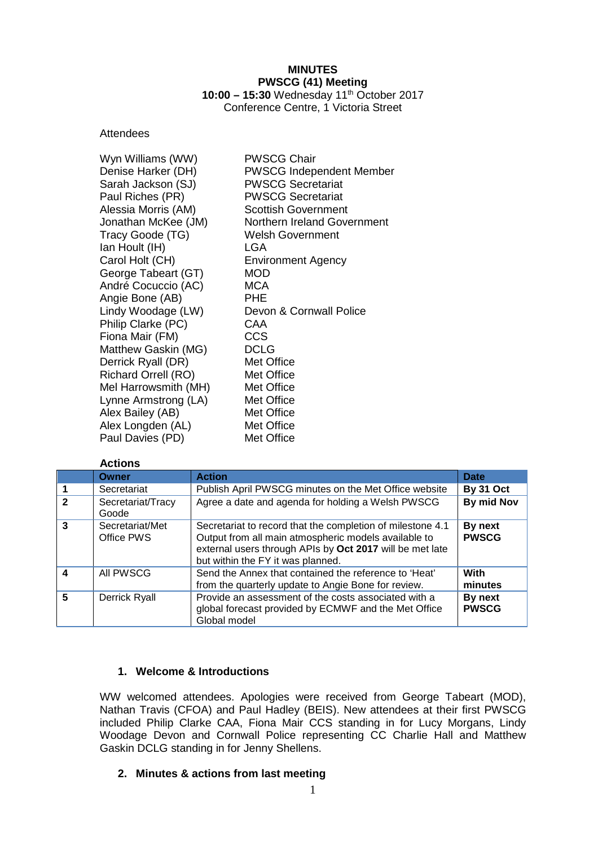# **MINUTES PWSCG (41) Meeting 10:00 – 15:30** Wednesday 11th October 2017

Conference Centre, 1 Victoria Street

### Attendees

| Wyn Williams (WW)          | <b>PWSCG Chair</b>              |
|----------------------------|---------------------------------|
| Denise Harker (DH)         | <b>PWSCG Independent Member</b> |
| Sarah Jackson (SJ)         | <b>PWSCG Secretariat</b>        |
| Paul Riches (PR)           | <b>PWSCG Secretariat</b>        |
| Alessia Morris (AM)        | <b>Scottish Government</b>      |
| Jonathan McKee (JM)        | Northern Ireland Government     |
| Tracy Goode (TG)           | <b>Welsh Government</b>         |
| Ian Hoult (IH)             | LGA                             |
| Carol Holt (CH)            | <b>Environment Agency</b>       |
| George Tabeart (GT)        | <b>MOD</b>                      |
| André Cocuccio (AC)        | MCA                             |
| Angie Bone (AB)            | <b>PHE</b>                      |
| Lindy Woodage (LW)         | Devon & Cornwall Police         |
| Philip Clarke (PC)         | CAA                             |
| Fiona Mair (FM)            | CCS                             |
| Matthew Gaskin (MG)        | <b>DCLG</b>                     |
| Derrick Ryall (DR)         | Met Office                      |
| <b>Richard Orrell (RO)</b> | Met Office                      |
| Mel Harrowsmith (MH)       | Met Office                      |
| Lynne Armstrong (LA)       | Met Office                      |
| Alex Bailey (AB)           | Met Office                      |
| Alex Longden (AL)          | Met Office                      |
| Paul Davies (PD)           | Met Office                      |

### **Actions**

|              | Owner                         | <b>Action</b>                                                                                                                                                                                                       | <b>Date</b>             |
|--------------|-------------------------------|---------------------------------------------------------------------------------------------------------------------------------------------------------------------------------------------------------------------|-------------------------|
|              | Secretariat                   | Publish April PWSCG minutes on the Met Office website                                                                                                                                                               | <b>By 31 Oct</b>        |
| $\mathbf{c}$ | Secretariat/Tracy<br>Goode    | Agree a date and agenda for holding a Welsh PWSCG                                                                                                                                                                   | By mid Nov              |
|              | Secretariat/Met<br>Office PWS | Secretariat to record that the completion of milestone 4.1<br>Output from all main atmospheric models available to<br>external users through APIs by Oct 2017 will be met late<br>but within the FY it was planned. | By next<br><b>PWSCG</b> |
| Δ            | All PWSCG                     | Send the Annex that contained the reference to 'Heat'<br>from the quarterly update to Angie Bone for review.                                                                                                        | <b>With</b><br>minutes  |
| 5            | <b>Derrick Ryall</b>          | Provide an assessment of the costs associated with a<br>global forecast provided by ECMWF and the Met Office<br>Global model                                                                                        | By next<br><b>PWSCG</b> |

# **1. Welcome & Introductions**

WW welcomed attendees. Apologies were received from George Tabeart (MOD), Nathan Travis (CFOA) and Paul Hadley (BEIS). New attendees at their first PWSCG included Philip Clarke CAA, Fiona Mair CCS standing in for Lucy Morgans, Lindy Woodage Devon and Cornwall Police representing CC Charlie Hall and Matthew Gaskin DCLG standing in for Jenny Shellens.

# **2. Minutes & actions from last meeting**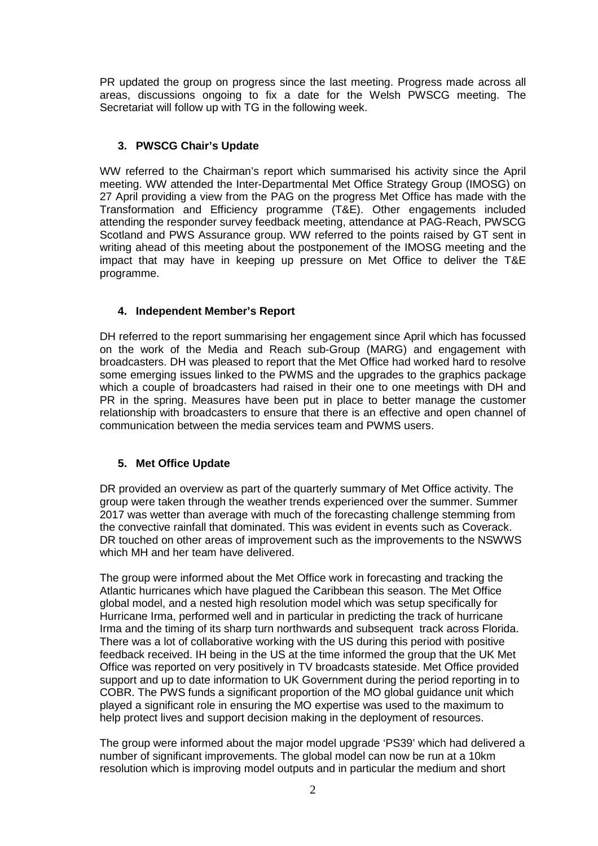PR updated the group on progress since the last meeting. Progress made across all areas, discussions ongoing to fix a date for the Welsh PWSCG meeting. The Secretariat will follow up with TG in the following week.

### **3. PWSCG Chair's Update**

WW referred to the Chairman's report which summarised his activity since the April meeting. WW attended the Inter-Departmental Met Office Strategy Group (IMOSG) on 27 April providing a view from the PAG on the progress Met Office has made with the Transformation and Efficiency programme (T&E). Other engagements included attending the responder survey feedback meeting, attendance at PAG-Reach, PWSCG Scotland and PWS Assurance group. WW referred to the points raised by GT sent in writing ahead of this meeting about the postponement of the IMOSG meeting and the impact that may have in keeping up pressure on Met Office to deliver the T&E programme.

### **4. Independent Member's Report**

DH referred to the report summarising her engagement since April which has focussed on the work of the Media and Reach sub-Group (MARG) and engagement with broadcasters. DH was pleased to report that the Met Office had worked hard to resolve some emerging issues linked to the PWMS and the upgrades to the graphics package which a couple of broadcasters had raised in their one to one meetings with DH and PR in the spring. Measures have been put in place to better manage the customer relationship with broadcasters to ensure that there is an effective and open channel of communication between the media services team and PWMS users.

# **5. Met Office Update**

DR provided an overview as part of the quarterly summary of Met Office activity. The group were taken through the weather trends experienced over the summer. Summer 2017 was wetter than average with much of the forecasting challenge stemming from the convective rainfall that dominated. This was evident in events such as Coverack. DR touched on other areas of improvement such as the improvements to the NSWWS which MH and her team have delivered.

The group were informed about the Met Office work in forecasting and tracking the Atlantic hurricanes which have plagued the Caribbean this season. The Met Office global model, and a nested high resolution model which was setup specifically for Hurricane Irma, performed well and in particular in predicting the track of hurricane Irma and the timing of its sharp turn northwards and subsequent track across Florida. There was a lot of collaborative working with the US during this period with positive feedback received. IH being in the US at the time informed the group that the UK Met Office was reported on very positively in TV broadcasts stateside. Met Office provided support and up to date information to UK Government during the period reporting in to COBR. The PWS funds a significant proportion of the MO global guidance unit which played a significant role in ensuring the MO expertise was used to the maximum to help protect lives and support decision making in the deployment of resources.

The group were informed about the major model upgrade 'PS39' which had delivered a number of significant improvements. The global model can now be run at a 10km resolution which is improving model outputs and in particular the medium and short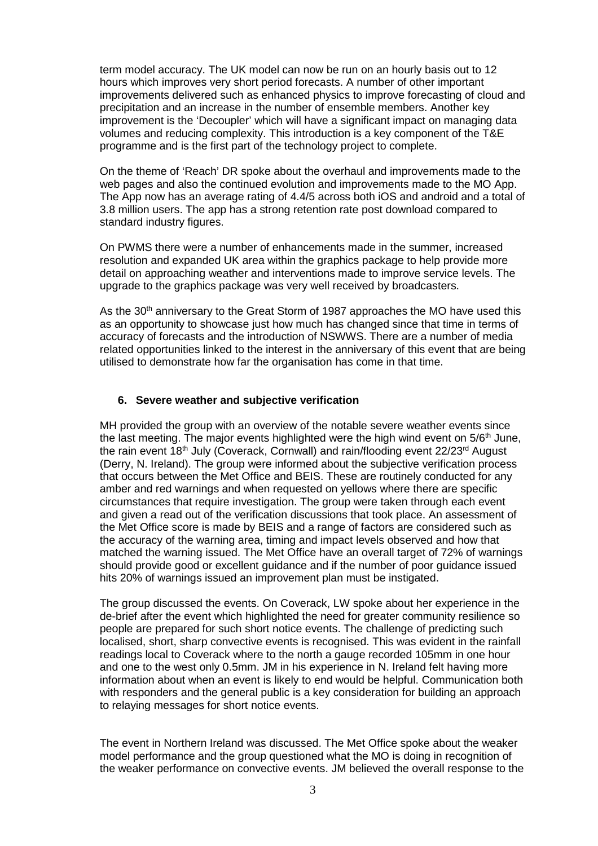term model accuracy. The UK model can now be run on an hourly basis out to 12 hours which improves very short period forecasts. A number of other important improvements delivered such as enhanced physics to improve forecasting of cloud and precipitation and an increase in the number of ensemble members. Another key improvement is the 'Decoupler' which will have a significant impact on managing data volumes and reducing complexity. This introduction is a key component of the T&E programme and is the first part of the technology project to complete.

On the theme of 'Reach' DR spoke about the overhaul and improvements made to the web pages and also the continued evolution and improvements made to the MO App. The App now has an average rating of 4.4/5 across both iOS and android and a total of 3.8 million users. The app has a strong retention rate post download compared to standard industry figures.

On PWMS there were a number of enhancements made in the summer, increased resolution and expanded UK area within the graphics package to help provide more detail on approaching weather and interventions made to improve service levels. The upgrade to the graphics package was very well received by broadcasters.

As the 30<sup>th</sup> anniversary to the Great Storm of 1987 approaches the MO have used this as an opportunity to showcase just how much has changed since that time in terms of accuracy of forecasts and the introduction of NSWWS. There are a number of media related opportunities linked to the interest in the anniversary of this event that are being utilised to demonstrate how far the organisation has come in that time.

#### **6. Severe weather and subjective verification**

MH provided the group with an overview of the notable severe weather events since the last meeting. The major events highlighted were the high wind event on  $5/6<sup>th</sup>$  June, the rain event 18<sup>th</sup> July (Coverack, Cornwall) and rain/flooding event 22/23<sup>rd</sup> August (Derry, N. Ireland). The group were informed about the subjective verification process that occurs between the Met Office and BEIS. These are routinely conducted for any amber and red warnings and when requested on yellows where there are specific circumstances that require investigation. The group were taken through each event and given a read out of the verification discussions that took place. An assessment of the Met Office score is made by BEIS and a range of factors are considered such as the accuracy of the warning area, timing and impact levels observed and how that matched the warning issued. The Met Office have an overall target of 72% of warnings should provide good or excellent guidance and if the number of poor guidance issued hits 20% of warnings issued an improvement plan must be instigated.

The group discussed the events. On Coverack, LW spoke about her experience in the de-brief after the event which highlighted the need for greater community resilience so people are prepared for such short notice events. The challenge of predicting such localised, short, sharp convective events is recognised. This was evident in the rainfall readings local to Coverack where to the north a gauge recorded 105mm in one hour and one to the west only 0.5mm. JM in his experience in N. Ireland felt having more information about when an event is likely to end would be helpful. Communication both with responders and the general public is a key consideration for building an approach to relaying messages for short notice events.

The event in Northern Ireland was discussed. The Met Office spoke about the weaker model performance and the group questioned what the MO is doing in recognition of the weaker performance on convective events. JM believed the overall response to the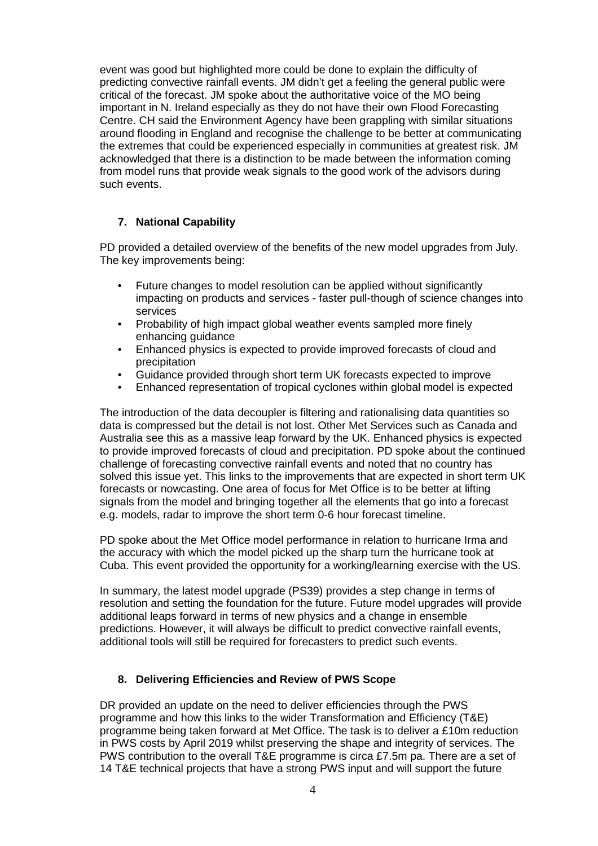event was good but highlighted more could be done to explain the difficulty of predicting convective rainfall events. JM didn't get a feeling the general public were critical of the forecast. JM spoke about the authoritative voice of the MO being important in N. Ireland especially as they do not have their own Flood Forecasting Centre. CH said the Environment Agency have been grappling with similar situations around flooding in England and recognise the challenge to be better at communicating the extremes that could be experienced especially in communities at greatest risk. JM acknowledged that there is a distinction to be made between the information coming from model runs that provide weak signals to the good work of the advisors during such events.

### **7. National Capability**

PD provided a detailed overview of the benefits of the new model upgrades from July. The key improvements being:

- Future changes to model resolution can be applied without significantly impacting on products and services - faster pull-though of science changes into services
- Probability of high impact global weather events sampled more finely enhancing guidance
- Enhanced physics is expected to provide improved forecasts of cloud and precipitation
- Guidance provided through short term UK forecasts expected to improve
- Enhanced representation of tropical cyclones within global model is expected

The introduction of the data decoupler is filtering and rationalising data quantities so data is compressed but the detail is not lost. Other Met Services such as Canada and Australia see this as a massive leap forward by the UK. Enhanced physics is expected to provide improved forecasts of cloud and precipitation. PD spoke about the continued challenge of forecasting convective rainfall events and noted that no country has solved this issue yet. This links to the improvements that are expected in short term UK forecasts or nowcasting. One area of focus for Met Office is to be better at lifting signals from the model and bringing together all the elements that go into a forecast e.g. models, radar to improve the short term 0-6 hour forecast timeline.

PD spoke about the Met Office model performance in relation to hurricane Irma and the accuracy with which the model picked up the sharp turn the hurricane took at Cuba. This event provided the opportunity for a working/learning exercise with the US.

In summary, the latest model upgrade (PS39) provides a step change in terms of resolution and setting the foundation for the future. Future model upgrades will provide additional leaps forward in terms of new physics and a change in ensemble predictions. However, it will always be difficult to predict convective rainfall events, additional tools will still be required for forecasters to predict such events.

### **8. Delivering Efficiencies and Review of PWS Scope**

DR provided an update on the need to deliver efficiencies through the PWS programme and how this links to the wider Transformation and Efficiency (T&E) programme being taken forward at Met Office. The task is to deliver a £10m reduction in PWS costs by April 2019 whilst preserving the shape and integrity of services. The PWS contribution to the overall T&E programme is circa £7.5m pa. There are a set of 14 T&E technical projects that have a strong PWS input and will support the future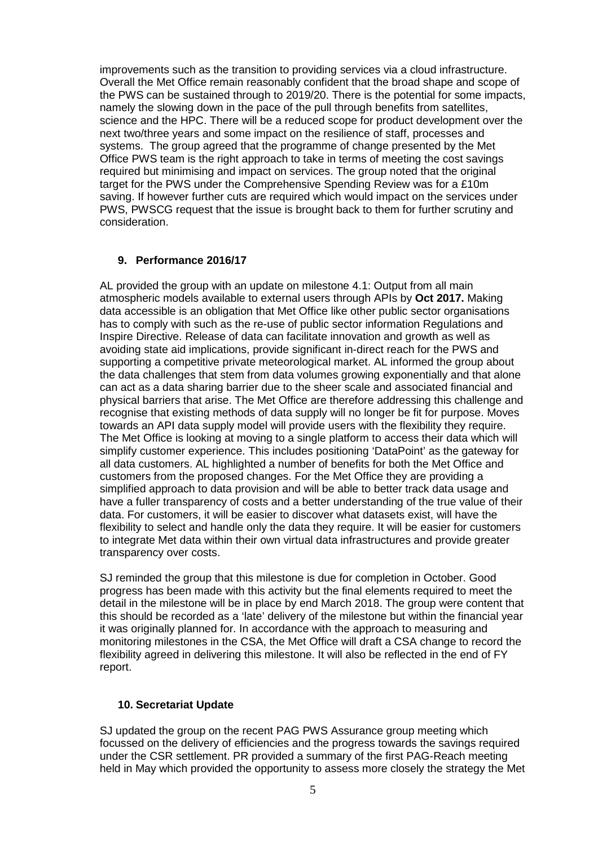improvements such as the transition to providing services via a cloud infrastructure. Overall the Met Office remain reasonably confident that the broad shape and scope of the PWS can be sustained through to 2019/20. There is the potential for some impacts, namely the slowing down in the pace of the pull through benefits from satellites, science and the HPC. There will be a reduced scope for product development over the next two/three years and some impact on the resilience of staff, processes and systems. The group agreed that the programme of change presented by the Met Office PWS team is the right approach to take in terms of meeting the cost savings required but minimising and impact on services. The group noted that the original target for the PWS under the Comprehensive Spending Review was for a £10m saving. If however further cuts are required which would impact on the services under PWS, PWSCG request that the issue is brought back to them for further scrutiny and consideration.

### **9. Performance 2016/17**

AL provided the group with an update on milestone 4.1: Output from all main atmospheric models available to external users through APIs by **Oct 2017.** Making data accessible is an obligation that Met Office like other public sector organisations has to comply with such as the re-use of public sector information Regulations and Inspire Directive. Release of data can facilitate innovation and growth as well as avoiding state aid implications, provide significant in-direct reach for the PWS and supporting a competitive private meteorological market. AL informed the group about the data challenges that stem from data volumes growing exponentially and that alone can act as a data sharing barrier due to the sheer scale and associated financial and physical barriers that arise. The Met Office are therefore addressing this challenge and recognise that existing methods of data supply will no longer be fit for purpose. Moves towards an API data supply model will provide users with the flexibility they require. The Met Office is looking at moving to a single platform to access their data which will simplify customer experience. This includes positioning 'DataPoint' as the gateway for all data customers. AL highlighted a number of benefits for both the Met Office and customers from the proposed changes. For the Met Office they are providing a simplified approach to data provision and will be able to better track data usage and have a fuller transparency of costs and a better understanding of the true value of their data. For customers, it will be easier to discover what datasets exist, will have the flexibility to select and handle only the data they require. It will be easier for customers to integrate Met data within their own virtual data infrastructures and provide greater transparency over costs.

SJ reminded the group that this milestone is due for completion in October. Good progress has been made with this activity but the final elements required to meet the detail in the milestone will be in place by end March 2018. The group were content that this should be recorded as a 'late' delivery of the milestone but within the financial year it was originally planned for. In accordance with the approach to measuring and monitoring milestones in the CSA, the Met Office will draft a CSA change to record the flexibility agreed in delivering this milestone. It will also be reflected in the end of FY report.

#### **10. Secretariat Update**

SJ updated the group on the recent PAG PWS Assurance group meeting which focussed on the delivery of efficiencies and the progress towards the savings required under the CSR settlement. PR provided a summary of the first PAG-Reach meeting held in May which provided the opportunity to assess more closely the strategy the Met